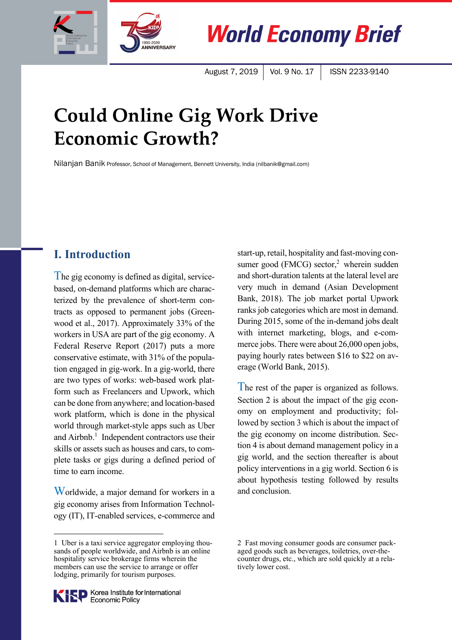



**World Economy Brief** 

August 7, 2019 | Vol. 9 No. 17 | ISSN 2233-9140

# **Could Online Gig Work Drive Economic Growth?**

Nilanjan Banik Professor, School of Management, Bennett University, India (nilbanik@gmail.com)

# **I. Introduction**

The gig economy is defined as digital, servicebased, on-demand platforms which are characterized by the prevalence of short-term contracts as opposed to permanent jobs (Greenwood et al., 2017). Approximately 33% of the workers in USA are part of the gig economy. A Federal Reserve Report (2017) puts a more conservative estimate, with 31% of the population engaged in gig-work. In a gig-world, there are two types of works: web-based work platform such as Freelancers and Upwork, which can be done from anywhere; and location-based work platform, which is done in the physical world through market-style apps such as Uber and  $Airb$ .<sup>1</sup> Independent contractors use their skills or assets such as houses and cars, to complete tasks or gigs during a defined period of time to earn income.

Worldwide, a major demand for workers in a gig economy arises from Information Technology (IT), IT-enabled services, e-commerce and start-up, retail, hospitality and fast-moving consumer good (FMCG) sector,<sup>2</sup> wherein sudden and short-duration talents at the lateral level are very much in demand (Asian Development Bank, 2018). The job market portal Upwork ranks job categories which are most in demand. During 2015, some of the in-demand jobs dealt with internet marketing, blogs, and e-commerce jobs. There were about 26,000 open jobs, paying hourly rates between \$16 to \$22 on average (World Bank, 2015).

The rest of the paper is organized as follows. Section 2 is about the impact of the gig economy on employment and productivity; followed by section 3 which is about the impact of the gig economy on income distribution. Section 4 is about demand management policy in a gig world, and the section thereafter is about policy interventions in a gig world. Section 6 is about hypothesis testing followed by results and conclusion.



<sup>1</sup> Uber is a taxi service aggregator employing thousands of people worldwide, and Airbnb is an online hospitality service brokerage firms wherein the members can use the service to arrange or offer lodging, primarily for tourism purposes.

<sup>2</sup> Fast moving consumer goods are consumer packaged goods such as beverages, toiletries, over-thecounter drugs, etc., which are sold quickly at a relatively lower cost.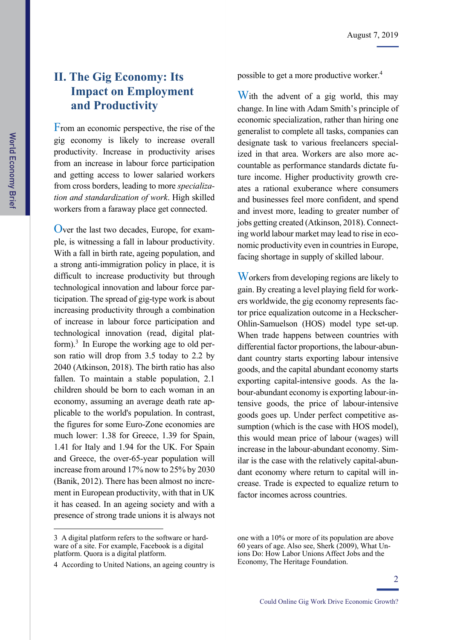# **II. The Gig Economy: Its Impact on Employment and Productivity**

From an economic perspective, the rise of the gig economy is likely to increase overall productivity. Increase in productivity arises from an increase in labour force participation and getting access to lower salaried workers from cross borders, leading to more *specialization and standardization of work*. High skilled workers from a faraway place get connected.

Over the last two decades, Europe, for example, is witnessing a fall in labour productivity. With a fall in birth rate, ageing population, and a strong anti-immigration policy in place, it is difficult to increase productivity but through technological innovation and labour force participation. The spread of gig-type work is about increasing productivity through a combination of increase in labour force participation and technological innovation (read, digital platform).<sup>3</sup> In Europe the working age to old person ratio will drop from 3.5 today to 2.2 by 2040 (Atkinson, 2018). The birth ratio has also fallen. To maintain a stable population, 2.1 children should be born to each woman in an economy, assuming an average death rate applicable to the world's population. In contrast, the figures for some Euro-Zone economies are much lower: 1.38 for Greece, 1.39 for Spain, 1.41 for Italy and 1.94 for the UK. For Spain and Greece, the over-65-year population will increase from around 17% now to 25% by 2030 (Banik, 2012). There has been almost no increment in European productivity, with that in UK it has ceased. In an ageing society and with a presence of strong trade unions it is always not

3 A digital platform refers to the software or hardware of a site. For example, Facebook is a digital platform. Quora is a digital platform.

 $\overline{a}$ 

possible to get a more productive worker.<sup>4</sup>

With the advent of a gig world, this may change. In line with Adam Smith's principle of economic specialization, rather than hiring one generalist to complete all tasks, companies can designate task to various freelancers specialized in that area. Workers are also more accountable as performance standards dictate future income. Higher productivity growth creates a rational exuberance where consumers and businesses feel more confident, and spend and invest more, leading to greater number of jobs getting created (Atkinson, 2018). Connecting world labour market may lead to rise in economic productivity even in countries in Europe, facing shortage in supply of skilled labour.

Workers from developing regions are likely to gain. By creating a level playing field for workers worldwide, the gig economy represents factor price equalization outcome in a Heckscher-Ohlin-Samuelson (HOS) model type set-up. When trade happens between countries with differential factor proportions, the labour-abundant country starts exporting labour intensive goods, and the capital abundant economy starts exporting capital-intensive goods. As the labour-abundant economy is exporting labour-intensive goods, the price of labour-intensive goods goes up. Under perfect competitive assumption (which is the case with HOS model), this would mean price of labour (wages) will increase in the labour-abundant economy. Similar is the case with the relatively capital-abundant economy where return to capital will increase. Trade is expected to equalize return to factor incomes across countries.

<sup>4</sup> According to United Nations, an ageing country is

one with a 10% or more of its population are above 60 years of age. Also see, Sherk (2009), What Unions Do: How Labor Unions Affect Jobs and the Economy, The Heritage Foundation.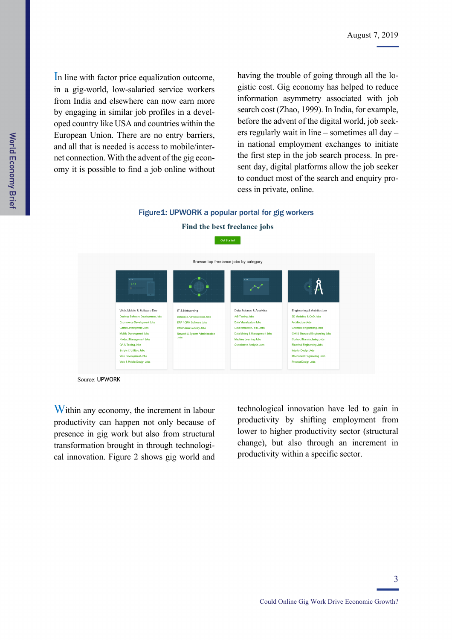In line with factor price equalization outcome, in a gig-world, low-salaried service workers from India and elsewhere can now earn more by engaging in similar job profiles in a developed country like USA and countries within the European Union. There are no entry barriers, and all that is needed is access to mobile/internet connection. With the advent of the gig economy it is possible to find a job online without having the trouble of going through all the logistic cost. Gig economy has helped to reduce information asymmetry associated with job search cost (Zhao, 1999). In India, for example, before the advent of the digital world, job seekers regularly wait in line  $-$  sometimes all day  $$ in national employment exchanges to initiate the first step in the job search process. In present day, digital platforms allow the job seeker to conduct most of the search and enquiry process in private, online.

### Figure1: UPWORK a popular portal for gig workers Find the best freelance jobs



Source: UPWORK

Within any economy, the increment in labour productivity can happen not only because of presence in gig work but also from structural transformation brought in through technological innovation. Figure 2 shows gig world and

technological innovation have led to gain in productivity by shifting employment from lower to higher productivity sector (structural change), but also through an increment in productivity within a specific sector.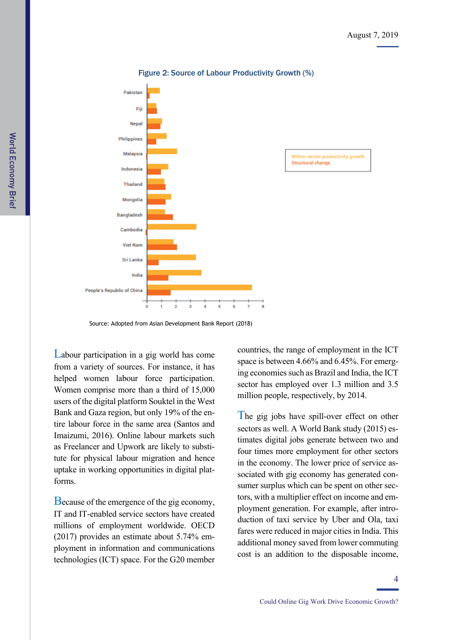

#### Figure 2: Source of Labour Productivity Growth (%)

Source: Adopted from Asian Development Bank Report (2018)

Labour participation in a gig world has come from a variety of sources. For instance, it has helped women labour force participation. Women comprise more than a third of 15,000 users of the digital platform Souktel in the West Bank and Gaza region, but only 19% of the entire labour force in the same area (Santos and Imaizumi, 2016). Online labour markets such as Freelancer and Upwork are likely to substitute for physical labour migration and hence uptake in working opportunities in digital platforms.

Because of the emergence of the gig economy, IT and IT-enabled service sectors have created millions of employment worldwide. OECD (2017) provides an estimate about 5.74% employment in information and communications technologies (ICT) space. For the G20 member countries, the range of employment in the ICT space is between 4.66% and 6.45%. For emerging economies such as Brazil and India, the ICT sector has employed over 1.3 million and 3.5 million people, respectively, by 2014.

The gig jobs have spill-over effect on other sectors as well. A World Bank study (2015) estimates digital jobs generate between two and four times more employment for other sectors in the economy. The lower price of service associated with gig economy has generated consumer surplus which can be spent on other sectors, with a multiplier effect on income and employment generation. For example, after introduction of taxi service by Uber and Ola, taxi fares were reduced in major cities in India. This additional money saved from lower commuting cost is an addition to the disposable income,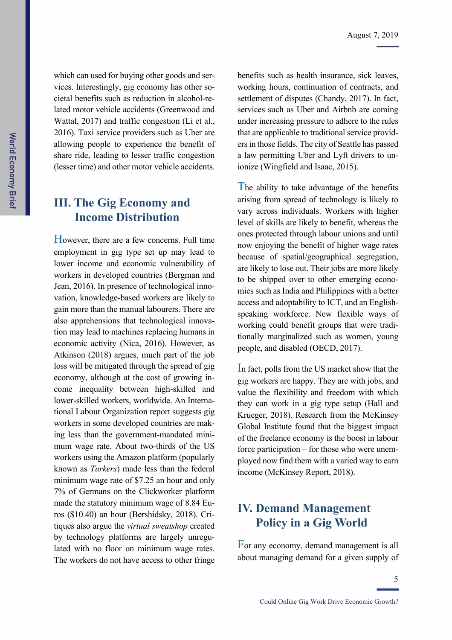which can used for buying other goods and services. Interestingly, gig economy has other societal benefits such as reduction in alcohol-related motor vehicle accidents (Greenwood and Wattal, 2017) and traffic congestion (Li et al., 2016). Taxi service providers such as Uber are allowing people to experience the benefit of share ride, leading to lesser traffic congestion (lesser time) and other motor vehicle accidents.

### **III. The Gig Economy and Income Distribution**

However, there are a few concerns. Full time employment in gig type set up may lead to lower income and economic vulnerability of workers in developed countries (Bergman and Jean, 2016). In presence of technological innovation, knowledge-based workers are likely to gain more than the manual labourers. There are also apprehensions that technological innovation may lead to machines replacing humans in economic activity (Nica, 2016). However, as Atkinson (2018) argues, much part of the job loss will be mitigated through the spread of gig economy, although at the cost of growing income inequality between high-skilled and lower-skilled workers, worldwide. An International Labour Organization report suggests gig workers in some developed countries are making less than the government-mandated minimum wage rate. About two-thirds of the US workers using the Amazon platform (popularly known as *Turkers*) made less than the federal minimum wage rate of \$7.25 an hour and only 7% of Germans on the Clickworker platform made the statutory minimum wage of 8.84 Euros (\$10.40) an hour (Bershidsky, 2018). Critiques also argue the *virtual sweatshop* created by technology platforms are largely unregulated with no floor on minimum wage rates. The workers do not have access to other fringe benefits such as health insurance, sick leaves, working hours, continuation of contracts, and settlement of disputes (Chandy, 2017). In fact, services such as Uber and Airbnb are coming under increasing pressure to adhere to the rules that are applicable to traditional service providers in those fields. The city of Seattle has passed a law permitting Uber and Lyft drivers to unionize (Wingfield and Isaac, 2015).

The ability to take advantage of the benefits arising from spread of technology is likely to vary across individuals. Workers with higher level of skills are likely to benefit, whereas the ones protected through labour unions and until now enjoying the benefit of higher wage rates because of spatial/geographical segregation, are likely to lose out. Their jobs are more likely to be shipped over to other emerging economies such as India and Philippines with a better access and adoptability to ICT, and an Englishspeaking workforce. New flexible ways of working could benefit groups that were traditionally marginalized such as women, young people, and disabled (OECD, 2017).

In fact, polls from the US market show that the gig workers are happy. They are with jobs, and value the flexibility and freedom with which they can work in a gig type setup (Hall and Krueger, 2018). Research from the McKinsey Global Institute found that the biggest impact of the freelance economy is the boost in labour force participation – for those who were unemployed now find them with a varied way to earn income (McKinsey Report, 2018).

## **IV. Demand Management Policy in a Gig World**

For any economy, demand management is all about managing demand for a given supply of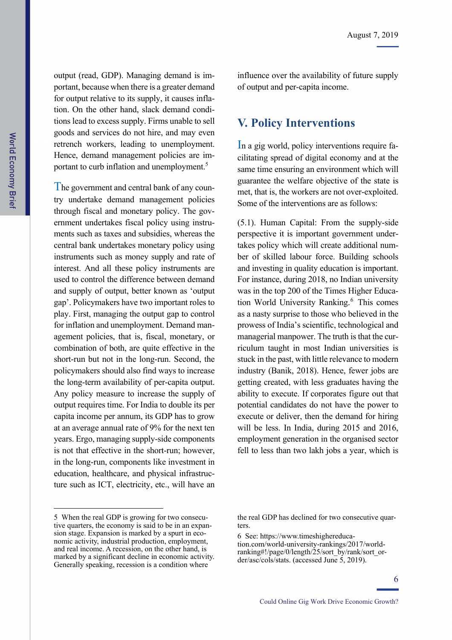output (read, GDP). Managing demand is important, because when there is a greater demand for output relative to its supply, it causes inflation. On the other hand, slack demand conditions lead to excess supply. Firms unable to sell goods and services do not hire, and may even retrench workers, leading to unemployment. Hence, demand management policies are important to curb inflation and unemployment.<sup>5</sup>

The government and central bank of any country undertake demand management policies through fiscal and monetary policy. The government undertakes fiscal policy using instruments such as taxes and subsidies, whereas the central bank undertakes monetary policy using instruments such as money supply and rate of interest. And all these policy instruments are used to control the difference between demand and supply of output, better known as 'output gap'. Policymakers have two important roles to play. First, managing the output gap to control for inflation and unemployment. Demand management policies, that is, fiscal, monetary, or combination of both, are quite effective in the short-run but not in the long-run. Second, the policymakers should also find ways to increase the long-term availability of per-capita output. Any policy measure to increase the supply of output requires time. For India to double its per capita income per annum, its GDP has to grow at an average annual rate of 9% for the next ten years. Ergo, managing supply-side components is not that effective in the short-run; however, in the long-run, components like investment in education, healthcare, and physical infrastructure such as ICT, electricity, etc., will have an

influence over the availability of future supply of output and per-capita income.

### **V. Policy Interventions**

In a gig world, policy interventions require facilitating spread of digital economy and at the same time ensuring an environment which will guarantee the welfare objective of the state is met, that is, the workers are not over-exploited. Some of the interventions are as follows:

(5.1). Human Capital: From the supply-side perspective it is important government undertakes policy which will create additional number of skilled labour force. Building schools and investing in quality education is important. For instance, during 2018, no Indian university was in the top 200 of the Times Higher Education World University Ranking.<sup>6</sup> This comes as a nasty surprise to those who believed in the prowess of India's scientific, technological and managerial manpower. The truth is that the curriculum taught in most Indian universities is stuck in the past, with little relevance to modern industry (Banik, 2018). Hence, fewer jobs are getting created, with less graduates having the ability to execute. If corporates figure out that potential candidates do not have the power to execute or deliver, then the demand for hiring will be less. In India, during 2015 and 2016, employment generation in the organised sector fell to less than two lakh jobs a year, which is

<sup>5</sup> When the real GDP is growing for two consecutive quarters, the economy is said to be in an expansion stage. Expansion is marked by a spurt in economic activity, industrial production, employment, and real income. A recession, on the other hand, is marked by a significant decline in economic activity. Generally speaking, recession is a condition where

the real GDP has declined for two consecutive quarters.

<sup>6</sup> See: https://www.timeshighereduca-

tion.com/world-university-rankings/2017/worldranking#!/page/0/length/25/sort\_by/rank/sort\_order/asc/cols/stats. (accessed June 5, 2019).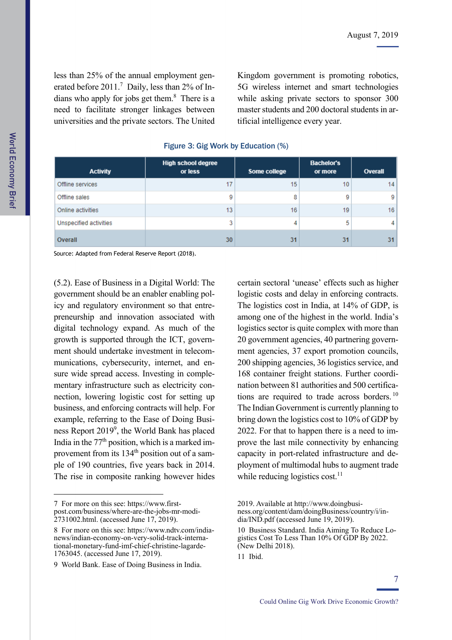less than 25% of the annual employment generated before 2011.<sup>7</sup> Daily, less than 2% of Indians who apply for jobs get them.<sup>8</sup> There is a need to facilitate stronger linkages between universities and the private sectors. The United

Kingdom government is promoting robotics, 5G wireless internet and smart technologies while asking private sectors to sponsor 300 master students and 200 doctoral students in artificial intelligence every year.

| <b>Activity</b>        | <b>High school degree</b><br>or less | Some college | <b>Bachelor's</b><br>or more | Overall |
|------------------------|--------------------------------------|--------------|------------------------------|---------|
| Offline services       | 17                                   | 15           | 10                           | 14      |
| Offline sales          | 9                                    | 8            | 9                            | 9       |
| Online activities      | 13                                   | 16           | 19                           | 16      |
| Unspecified activities | 3                                    | 4            | 5                            | 4       |
| Overall                | 30                                   | 31           | 31                           | 31      |

### Figure 3: Gig Work by Education (%)

Source: Adapted from Federal Reserve Report (2018).

(5.2). Ease of Business in a Digital World: The government should be an enabler enabling policy and regulatory environment so that entrepreneurship and innovation associated with digital technology expand. As much of the growth is supported through the ICT, government should undertake investment in telecommunications, cybersecurity, internet, and ensure wide spread access. Investing in complementary infrastructure such as electricity connection, lowering logistic cost for setting up business, and enforcing contracts will help. For example, referring to the Ease of Doing Business Report 2019<sup>9</sup>, the World Bank has placed India in the  $77<sup>th</sup>$  position, which is a marked improvement from its 134<sup>th</sup> position out of a sample of 190 countries, five years back in 2014. The rise in composite ranking however hides

7 For more on this see: https://www.firstpost.com/business/where-are-the-jobs-mr-modi-2731002.html. (accessed June 17, 2019).

certain sectoral 'unease' effects such as higher logistic costs and delay in enforcing contracts. The logistics cost in India, at 14% of GDP, is among one of the highest in the world. India's logistics sector is quite complex with more than 20 government agencies, 40 partnering government agencies, 37 export promotion councils, 200 shipping agencies, 36 logistics service, and 168 container freight stations. Further coordination between 81 authorities and 500 certifications are required to trade across borders. <sup>10</sup> The Indian Government is currently planning to bring down the logistics cost to 10% of GDP by 2022. For that to happen there is a need to improve the last mile connectivity by enhancing capacity in port-related infrastructure and deployment of multimodal hubs to augment trade while reducing logistics  $cost<sup>11</sup>$ .

World Economy Briei

<sup>8</sup> For more on this see: https://www.ndtv.com/indianews/indian-economy-on-very-solid-track-international-monetary-fund-imf-chief-christine-lagarde-1763045. (accessed June 17, 2019).

<sup>9</sup> World Bank. Ease of Doing Business in India.

<sup>2019.</sup> Available at http://www.doingbusiness.org/content/dam/doingBusiness/country/i/india/IND.pdf (accessed June 19, 2019).

<sup>10</sup> Business Standard. India Aiming To Reduce Logistics Cost To Less Than 10% Of GDP By 2022. (New Delhi 2018).

<sup>11</sup> Ibid.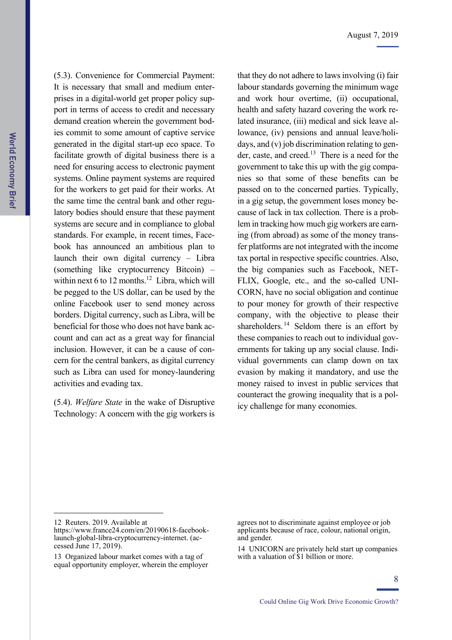(5.3). Convenience for Commercial Payment: It is necessary that small and medium enterprises in a digital-world get proper policy support in terms of access to credit and necessary demand creation wherein the government bodies commit to some amount of captive service generated in the digital start-up eco space. To facilitate growth of digital business there is a need for ensuring access to electronic payment systems. Online payment systems are required for the workers to get paid for their works. At the same time the central bank and other regulatory bodies should ensure that these payment systems are secure and in compliance to global standards. For example, in recent times, Facebook has announced an ambitious plan to launch their own digital currency – Libra (something like cryptocurrency Bitcoin) – within next 6 to 12 months.<sup>12</sup> Libra, which will be pegged to the US dollar, can be used by the online Facebook user to send money across borders. Digital currency, such as Libra, will be beneficial for those who does not have bank account and can act as a great way for financial inclusion. However, it can be a cause of concern for the central bankers, as digital currency such as Libra can used for money-laundering activities and evading tax.

(5.4). *Welfare State* in the wake of Disruptive Technology: A concern with the gig workers is

that they do not adhere to laws involving (i) fair labour standards governing the minimum wage and work hour overtime, (ii) occupational, health and safety hazard covering the work related insurance, (iii) medical and sick leave allowance, (iv) pensions and annual leave/holidays, and (v) job discrimination relating to gender, caste, and creed.<sup>13</sup> There is a need for the government to take this up with the gig companies so that some of these benefits can be passed on to the concerned parties. Typically, in a gig setup, the government loses money because of lack in tax collection. There is a problem in tracking how much gig workers are earning (from abroad) as some of the money transfer platforms are not integrated with the income tax portal in respective specific countries. Also, the big companies such as Facebook, NET-FLIX, Google, etc., and the so-called UNI-CORN, have no social obligation and continue to pour money for growth of their respective company, with the objective to please their shareholders.  $14$  Seldom there is an effort by these companies to reach out to individual governments for taking up any social clause. Individual governments can clamp down on tax evasion by making it mandatory, and use the money raised to invest in public services that counteract the growing inequality that is a policy challenge for many economies.

<sup>12</sup> Reuters. 2019. Available at

https://www.france24.com/en/20190618-facebooklaunch-global-libra-cryptocurrency-internet. (accessed June 17, 2019).

<sup>13</sup> Organized labour market comes with a tag of equal opportunity employer, wherein the employer

agrees not to discriminate against employee or job applicants because of race, colour, national origin, and gender.

<sup>14</sup> UNICORN are privately held start up companies with a valuation of \$1 billion or more.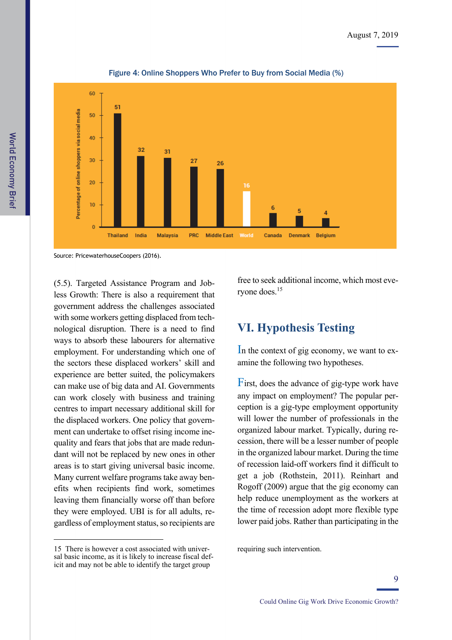

Figure 4: Online Shoppers Who Prefer to Buy from Social Media (%)

Source: PricewaterhouseCoopers (2016).

(5.5). Targeted Assistance Program and Jobless Growth: There is also a requirement that government address the challenges associated with some workers getting displaced from technological disruption. There is a need to find ways to absorb these labourers for alternative employment. For understanding which one of the sectors these displaced workers' skill and experience are better suited, the policymakers can make use of big data and AI. Governments can work closely with business and training centres to impart necessary additional skill for the displaced workers. One policy that government can undertake to offset rising income inequality and fears that jobs that are made redundant will not be replaced by new ones in other areas is to start giving universal basic income. Many current welfare programs take away benefits when recipients find work, sometimes leaving them financially worse off than before they were employed. UBI is for all adults, regardless of employment status, so recipients are

15 There is however a cost associated with universal basic income, as it is likely to increase fiscal deficit and may not be able to identify the target group

1

free to seek additional income, which most everyone does.15

## **VI. Hypothesis Testing**

In the context of gig economy, we want to examine the following two hypotheses.

First, does the advance of gig-type work have any impact on employment? The popular perception is a gig-type employment opportunity will lower the number of professionals in the organized labour market. Typically, during recession, there will be a lesser number of people in the organized labour market. During the time of recession laid-off workers find it difficult to get a job (Rothstein, 2011). Reinhart and Rogoff (2009) argue that the gig economy can help reduce unemployment as the workers at the time of recession adopt more flexible type lower paid jobs. Rather than participating in the

requiring such intervention.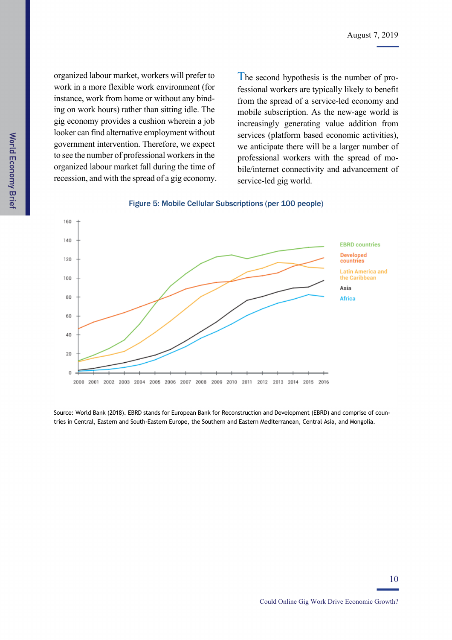organized labour market, workers will prefer to work in a more flexible work environment (for instance, work from home or without any binding on work hours) rather than sitting idle. The gig economy provides a cushion wherein a job looker can find alternative employment without government intervention. Therefore, we expect to see the number of professional workers in the organized labour market fall during the time of recession, and with the spread of a gig economy.

The second hypothesis is the number of professional workers are typically likely to benefit from the spread of a service-led economy and mobile subscription. As the new-age world is increasingly generating value addition from services (platform based economic activities), we anticipate there will be a larger number of professional workers with the spread of mobile/internet connectivity and advancement of service-led gig world.





Source: World Bank (2018). EBRD stands for European Bank for Reconstruction and Development (EBRD) and comprise of countries in Central, Eastern and South-Eastern Europe, the Southern and Eastern Mediterranean, Central Asia, and Mongolia.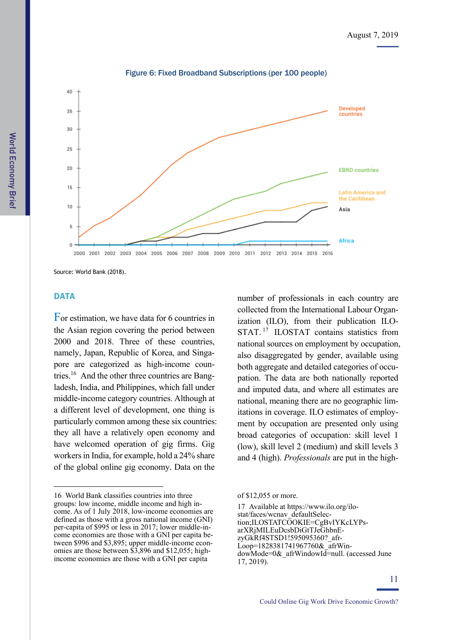

Figure 6: Fixed Broadband Subscriptions (per 100 people)

Source: World Bank (2018).

### **DATA**

1

For estimation, we have data for 6 countries in the Asian region covering the period between 2000 and 2018. Three of these countries, namely, Japan, Republic of Korea, and Singapore are categorized as high-income countries.16 And the other three countries are Bangladesh, India, and Philippines, which fall under middle-income category countries. Although at a different level of development, one thing is particularly common among these six countries: they all have a relatively open economy and have welcomed operation of gig firms. Gig workers in India, for example, hold a 24% share of the global online gig economy. Data on the

number of professionals in each country are collected from the International Labour Organization (ILO), from their publication ILO-STAT.<sup>17</sup> ILOSTAT contains statistics from national sources on employment by occupation, also disaggregated by gender, available using both aggregate and detailed categories of occupation. The data are both nationally reported and imputed data, and where all estimates are national, meaning there are no geographic limitations in coverage. ILO estimates of employment by occupation are presented only using broad categories of occupation: skill level 1 (low), skill level 2 (medium) and skill levels 3 and 4 (high). *Professionals* are put in the high-

<sup>16</sup> World Bank classifies countries into three groups: low income, middle income and high income. As of 1 July 2018, low-income economies are defined as those with a gross national income (GNI) per-capita of \$995 or less in 2017; lower middle-income economies are those with a GNI per capita between \$996 and \$3,895; upper middle-income economies are those between \$3,896 and \$12,055; highincome economies are those with a GNI per capita

of \$12,055 or more.

<sup>17</sup> Available at https://www.ilo.org/ilostat/faces/wcnav\_defaultSelection;ILOSTATCOOKIE=CgBvIYKcLYPsarXRjMILEuDcsbDiGtTJeGhbnEzyGkRf4STSD1!595095360?\_afr-Loop=1828381741967760&\_afrWindowMode=0& afrWindowId=null. (accessed June 17, 2019).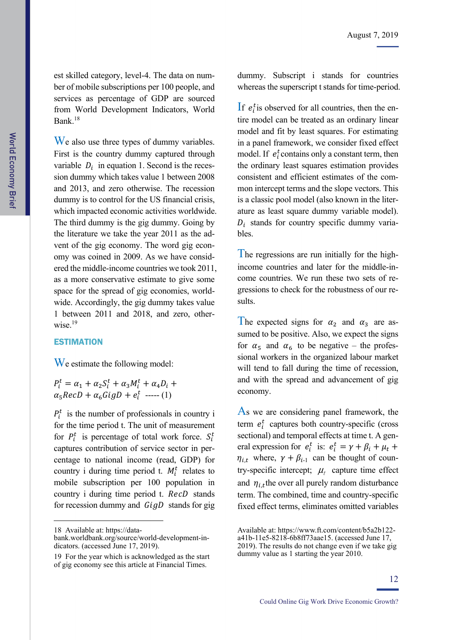est skilled category, level-4. The data on number of mobile subscriptions per 100 people, and services as percentage of GDP are sourced from World Development Indicators, World Bank.18

We also use three types of dummy variables. First is the country dummy captured through variable  $D_i$  in equation 1. Second is the recession dummy which takes value 1 between 2008 and 2013, and zero otherwise. The recession dummy is to control for the US financial crisis, which impacted economic activities worldwide. The third dummy is the gig dummy. Going by the literature we take the year 2011 as the advent of the gig economy. The word gig economy was coined in 2009. As we have considered the middle-income countries we took 2011, as a more conservative estimate to give some space for the spread of gig economies, worldwide. Accordingly, the gig dummy takes value 1 between 2011 and 2018, and zero, otherwise.<sup>19</sup>

### **ESTIMATION**

We estimate the following model:

 $P_i^t = \alpha_1 + \alpha_2 S_i^t + \alpha_3 M_i^t + \alpha_4 D_i +$  $\alpha_5 RecD + \alpha_6 GigD + e_i^t$  ----- (1)

 $P_i^t$  is the number of professionals in country i for the time period t. The unit of measurement for  $P_i^t$  is percentage of total work force.  $S_i^t$ captures contribution of service sector in percentage to national income (read, GDP) for country i during time period t.  $M_i^t$  relates to mobile subscription per 100 population in country i during time period t. RecD stands for recession dummy and  $\overline{G}$  tands for gig

1

dummy. Subscript i stands for countries whereas the superscript t stands for time-period.

If  $e_i^t$  is observed for all countries, then the entire model can be treated as an ordinary linear model and fit by least squares. For estimating in a panel framework, we consider fixed effect model. If  $e_i^t$  contains only a constant term, then the ordinary least squares estimation provides consistent and efficient estimates of the common intercept terms and the slope vectors. This is a classic pool model (also known in the literature as least square dummy variable model).  $D_i$  stands for country specific dummy variables.

The regressions are run initially for the highincome countries and later for the middle-income countries. We run these two sets of regressions to check for the robustness of our results.

The expected signs for  $\alpha_2$  and  $\alpha_3$  are assumed to be positive. Also, we expect the signs for  $\alpha_5$  and  $\alpha_6$  to be negative – the professional workers in the organized labour market will tend to fall during the time of recession, and with the spread and advancement of gig economy.

As we are considering panel framework, the term  $e_i^t$  captures both country-specific (cross sectional) and temporal effects at time t. A general expression for  $e_i^t$  is:  $e_i^t = \gamma + \beta_i + \mu_t +$  $\eta_{i,t}$  where,  $\gamma + \beta_{i-1}$  can be thought of country-specific intercept;  $\mu_t$  capture time effect and  $\eta_{i,t}$ the over all purely random disturbance term. The combined, time and country-specific fixed effect terms, eliminates omitted variables

<sup>18</sup> Available at: https://data-

bank.worldbank.org/source/world-development-indicators. (accessed June 17, 2019).

<sup>19</sup> For the year which is acknowledged as the start of gig economy see this article at Financial Times.

Available at: https://www.ft.com/content/b5a2b122 a41b-11e5-8218-6b8ff73aae15. (accessed June 17, 2019). The results do not change even if we take gig

dummy value as 1 starting the year 2010.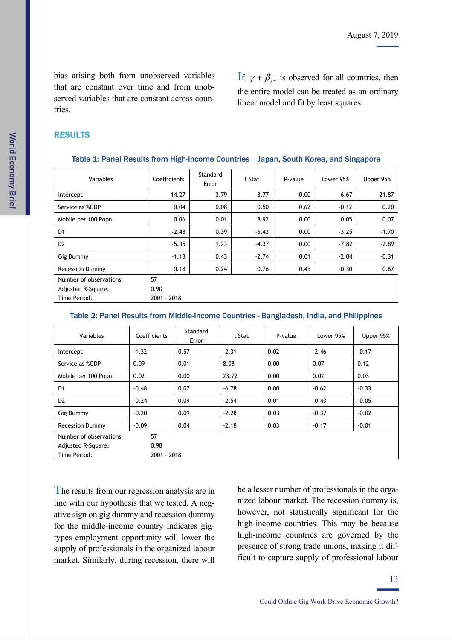bias arising both from unobserved variables that are constant over time and from unobserved variables that are constant across countries.

If  $\gamma + \beta_{j-1}$  is observed for all countries, then the entire model can be treated as an ordinary linear model and fit by least squares.

### RESULTS

| Variables                 | Coefficients  | Standard<br>Error | t Stat  | P-value | Lower 95% | Upper 95% |  |
|---------------------------|---------------|-------------------|---------|---------|-----------|-----------|--|
| Intercept                 | 14.27         | 3.79              | 3.77    | 0.00    | 6.67      | 21.87     |  |
| Service as %GDP           | 0.04          | 0.08              | 0.50    | 0.62    | $-0.12$   | 0.20      |  |
| Mobile per 100 Popn.      | 0.06          | 0.01              | 8.92    | 0.00    | 0.05      | 0.07      |  |
| D <sub>1</sub>            | $-2.48$       | 0.39              | $-6.43$ | 0.00    | $-3.25$   | $-1.70$   |  |
| D <sub>2</sub>            | $-5.35$       | 1.23              | $-4.37$ | 0.00    | $-7.82$   | $-2.89$   |  |
| Gig Dummy                 | $-1.18$       | 0.43              | $-2.74$ | 0.01    | $-2.04$   | $-0.31$   |  |
| <b>Recession Dummy</b>    | 0.18          | 0.24              | 0.76    | 0.45    | $-0.30$   | 0.67      |  |
| Number of observations:   | 57            |                   |         |         |           |           |  |
| <b>Adjusted R-Square:</b> | 0.90          |                   |         |         |           |           |  |
| Time Period:              | $2001 - 2018$ |                   |         |         |           |           |  |

#### Table 1: Panel Results from High-Income Countries ‒ Japan, South Korea, and Singapore

#### Table 2: Panel Results from Middle-Income Countries - Bangladesh, India, and Philippines

| Variables               | Coefficients | Standard<br>Error | t Stat  | P-value | Lower 95% | Upper 95% |  |
|-------------------------|--------------|-------------------|---------|---------|-----------|-----------|--|
| Intercept               | $-1.32$      | 0.57              | $-2.31$ | 0.02    | $-2.46$   | $-0.17$   |  |
| Service as %GDP         | 0.09         | 0.01              | 8.08    | 0.00    | 0.07      | 0.12      |  |
| Mobile per 100 Popn.    | 0.02         | 0.00              | 23.72   | 0.00    | 0.02      | 0.03      |  |
| D <sub>1</sub>          | $-0.48$      | 0.07              | $-6.78$ | 0.00    | $-0.62$   | $-0.33$   |  |
| D <sub>2</sub>          | $-0.24$      | 0.09              | $-2.54$ | 0.01    | $-0.43$   | $-0.05$   |  |
| Gig Dummy               | $-0.20$      | 0.09              | $-2.28$ | 0.03    | $-0.37$   | $-0.02$   |  |
| <b>Recession Dummy</b>  | $-0.09$      | 0.04              | $-2.18$ | 0.03    | $-0.17$   | $-0.01$   |  |
| Number of observations: | 57           |                   |         |         |           |           |  |
| Adjusted R-Square:      | 0.98         |                   |         |         |           |           |  |
| Time Period:            |              | $2001 - 2018$     |         |         |           |           |  |

The results from our regression analysis are in line with our hypothesis that we tested. A negative sign on gig dummy and recession dummy for the middle-income country indicates gigtypes employment opportunity will lower the supply of professionals in the organized labour market. Similarly, during recession, there will be a lesser number of professionals in the organized labour market. The recession dummy is, however, not statistically significant for the high-income countries. This may be because high-income countries are governed by the presence of strong trade unions, making it difficult to capture supply of professional labour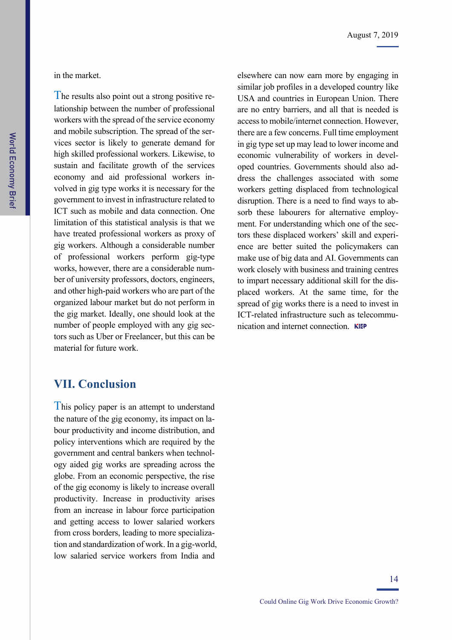The results also point out a strong positive relationship between the number of professional workers with the spread of the service economy and mobile subscription. The spread of the services sector is likely to generate demand for high skilled professional workers. Likewise, to sustain and facilitate growth of the services economy and aid professional workers involved in gig type works it is necessary for the government to invest in infrastructure related to ICT such as mobile and data connection. One limitation of this statistical analysis is that we have treated professional workers as proxy of gig workers. Although a considerable number of professional workers perform gig-type works, however, there are a considerable number of university professors, doctors, engineers, and other high-paid workers who are part of the organized labour market but do not perform in the gig market. Ideally, one should look at the number of people employed with any gig sectors such as Uber or Freelancer, but this can be material for future work.

elsewhere can now earn more by engaging in similar job profiles in a developed country like USA and countries in European Union. There are no entry barriers, and all that is needed is access to mobile/internet connection. However, there are a few concerns. Full time employment in gig type set up may lead to lower income and economic vulnerability of workers in developed countries. Governments should also address the challenges associated with some workers getting displaced from technological disruption. There is a need to find ways to absorb these labourers for alternative employment. For understanding which one of the sectors these displaced workers' skill and experience are better suited the policymakers can make use of big data and AI. Governments can work closely with business and training centres to impart necessary additional skill for the displaced workers. At the same time, for the spread of gig works there is a need to invest in ICT-related infrastructure such as telecommunication and internet connection. KIEP

## **VII. Conclusion**

This policy paper is an attempt to understand the nature of the gig economy, its impact on labour productivity and income distribution, and policy interventions which are required by the government and central bankers when technology aided gig works are spreading across the globe. From an economic perspective, the rise of the gig economy is likely to increase overall productivity. Increase in productivity arises from an increase in labour force participation and getting access to lower salaried workers from cross borders, leading to more specialization and standardization of work. In a gig-world, low salaried service workers from India and